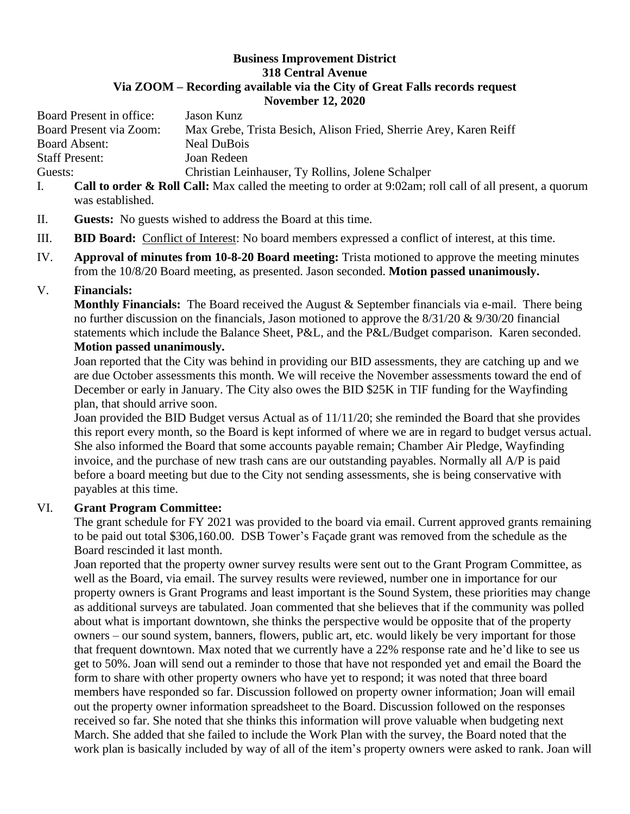## **Business Improvement District 318 Central Avenue Via ZOOM – Recording available via the City of Great Falls records request November 12, 2020**

Board Present in office: Jason Kunz Board Present via Zoom: Max Grebe, Trista Besich, Alison Fried, Sherrie Arey, Karen Reiff Board Absent: Neal DuBois Staff Present: Joan Redeen Guests: Christian Leinhauser, Ty Rollins, Jolene Schalper

- I. **Call to order & Roll Call:** Max called the meeting to order at 9:02am; roll call of all present, a quorum was established.
- II. **Guests:** No guests wished to address the Board at this time.
- III. **BID Board:** Conflict of Interest: No board members expressed a conflict of interest, at this time.
- IV. **Approval of minutes from 10-8-20 Board meeting:** Trista motioned to approve the meeting minutes from the 10/8/20 Board meeting, as presented. Jason seconded. **Motion passed unanimously.**

## V. **Financials:**

**Monthly Financials:** The Board received the August & September financials via e-mail. There being no further discussion on the financials, Jason motioned to approve the 8/31/20 & 9/30/20 financial statements which include the Balance Sheet, P&L, and the P&L/Budget comparison. Karen seconded. **Motion passed unanimously.**

Joan reported that the City was behind in providing our BID assessments, they are catching up and we are due October assessments this month. We will receive the November assessments toward the end of December or early in January. The City also owes the BID \$25K in TIF funding for the Wayfinding plan, that should arrive soon.

Joan provided the BID Budget versus Actual as of 11/11/20; she reminded the Board that she provides this report every month, so the Board is kept informed of where we are in regard to budget versus actual. She also informed the Board that some accounts payable remain; Chamber Air Pledge, Wayfinding invoice, and the purchase of new trash cans are our outstanding payables. Normally all A/P is paid before a board meeting but due to the City not sending assessments, she is being conservative with payables at this time.

## VI. **Grant Program Committee:**

The grant schedule for FY 2021 was provided to the board via email. Current approved grants remaining to be paid out total \$306,160.00. DSB Tower's Façade grant was removed from the schedule as the Board rescinded it last month.

Joan reported that the property owner survey results were sent out to the Grant Program Committee, as well as the Board, via email. The survey results were reviewed, number one in importance for our property owners is Grant Programs and least important is the Sound System, these priorities may change as additional surveys are tabulated. Joan commented that she believes that if the community was polled about what is important downtown, she thinks the perspective would be opposite that of the property owners – our sound system, banners, flowers, public art, etc. would likely be very important for those that frequent downtown. Max noted that we currently have a 22% response rate and he'd like to see us get to 50%. Joan will send out a reminder to those that have not responded yet and email the Board the form to share with other property owners who have yet to respond; it was noted that three board members have responded so far. Discussion followed on property owner information; Joan will email out the property owner information spreadsheet to the Board. Discussion followed on the responses received so far. She noted that she thinks this information will prove valuable when budgeting next March. She added that she failed to include the Work Plan with the survey, the Board noted that the work plan is basically included by way of all of the item's property owners were asked to rank. Joan will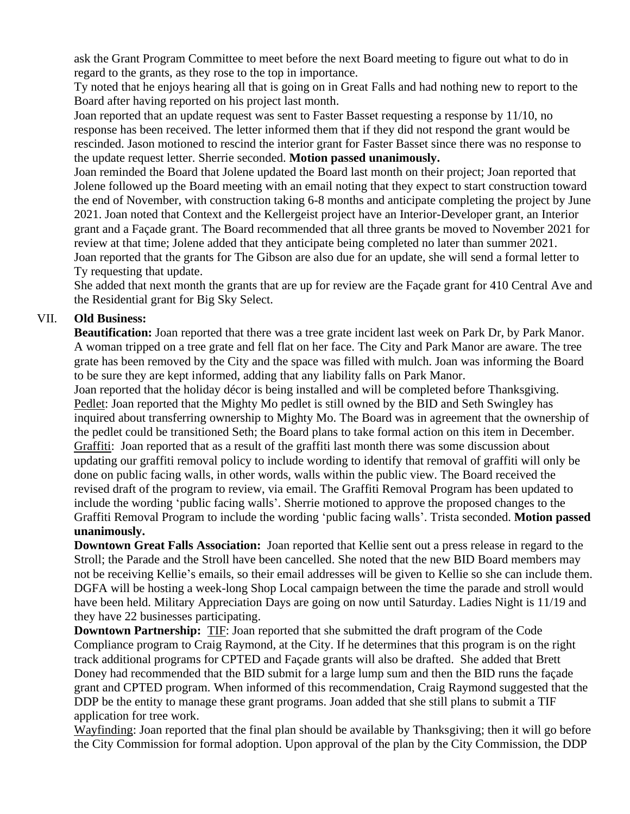ask the Grant Program Committee to meet before the next Board meeting to figure out what to do in regard to the grants, as they rose to the top in importance.

Ty noted that he enjoys hearing all that is going on in Great Falls and had nothing new to report to the Board after having reported on his project last month.

Joan reported that an update request was sent to Faster Basset requesting a response by 11/10, no response has been received. The letter informed them that if they did not respond the grant would be rescinded. Jason motioned to rescind the interior grant for Faster Basset since there was no response to the update request letter. Sherrie seconded. **Motion passed unanimously.**

Joan reminded the Board that Jolene updated the Board last month on their project; Joan reported that Jolene followed up the Board meeting with an email noting that they expect to start construction toward the end of November, with construction taking 6-8 months and anticipate completing the project by June 2021. Joan noted that Context and the Kellergeist project have an Interior-Developer grant, an Interior grant and a Façade grant. The Board recommended that all three grants be moved to November 2021 for review at that time; Jolene added that they anticipate being completed no later than summer 2021. Joan reported that the grants for The Gibson are also due for an update, she will send a formal letter to Ty requesting that update.

She added that next month the grants that are up for review are the Façade grant for 410 Central Ave and the Residential grant for Big Sky Select.

## VII. **Old Business:**

**Beautification:** Joan reported that there was a tree grate incident last week on Park Dr, by Park Manor. A woman tripped on a tree grate and fell flat on her face. The City and Park Manor are aware. The tree grate has been removed by the City and the space was filled with mulch. Joan was informing the Board to be sure they are kept informed, adding that any liability falls on Park Manor.

Joan reported that the holiday décor is being installed and will be completed before Thanksgiving. Pedlet: Joan reported that the Mighty Mo pedlet is still owned by the BID and Seth Swingley has inquired about transferring ownership to Mighty Mo. The Board was in agreement that the ownership of the pedlet could be transitioned Seth; the Board plans to take formal action on this item in December. Graffiti: Joan reported that as a result of the graffiti last month there was some discussion about updating our graffiti removal policy to include wording to identify that removal of graffiti will only be done on public facing walls, in other words, walls within the public view. The Board received the revised draft of the program to review, via email. The Graffiti Removal Program has been updated to include the wording 'public facing walls'. Sherrie motioned to approve the proposed changes to the Graffiti Removal Program to include the wording 'public facing walls'. Trista seconded. **Motion passed unanimously.** 

**Downtown Great Falls Association:** Joan reported that Kellie sent out a press release in regard to the Stroll; the Parade and the Stroll have been cancelled. She noted that the new BID Board members may not be receiving Kellie's emails, so their email addresses will be given to Kellie so she can include them. DGFA will be hosting a week-long Shop Local campaign between the time the parade and stroll would have been held. Military Appreciation Days are going on now until Saturday. Ladies Night is 11/19 and they have 22 businesses participating.

**Downtown Partnership:** TIF: Joan reported that she submitted the draft program of the Code Compliance program to Craig Raymond, at the City. If he determines that this program is on the right track additional programs for CPTED and Façade grants will also be drafted. She added that Brett Doney had recommended that the BID submit for a large lump sum and then the BID runs the façade grant and CPTED program. When informed of this recommendation, Craig Raymond suggested that the DDP be the entity to manage these grant programs. Joan added that she still plans to submit a TIF application for tree work.

Wayfinding: Joan reported that the final plan should be available by Thanksgiving; then it will go before the City Commission for formal adoption. Upon approval of the plan by the City Commission, the DDP